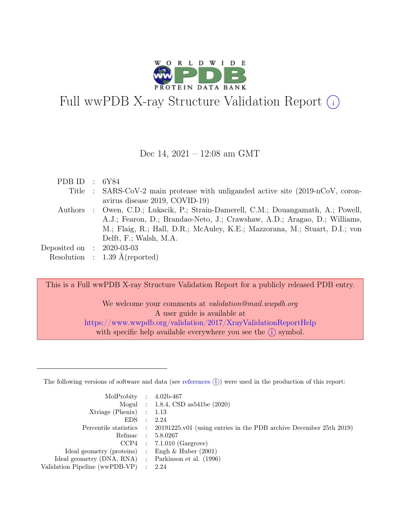

# Full wwPDB X-ray Structure Validation Report  $(i)$

Dec 14, 2021 – 12:08 am GMT

| PDB ID : $6Y84$             |                                                                                    |
|-----------------------------|------------------------------------------------------------------------------------|
|                             | Title : SARS-CoV-2 main protease with unliganded active site (2019-nCoV, coron-    |
|                             | avirus disease 2019, COVID-19)                                                     |
|                             | Authors : Owen, C.D.; Lukacik, P.; Strain-Damerell, C.M.; Douangamath, A.; Powell, |
|                             | A.J.; Fearon, D.; Brandao-Neto, J.; Crawshaw, A.D.; Aragao, D.; Williams,          |
|                             | M.; Flaig, R.; Hall, D.R.; McAuley, K.E.; Mazzorana, M.; Stuart, D.I.; von         |
|                             | Delft, F.; Walsh, M.A.                                                             |
| Deposited on : $2020-03-03$ |                                                                                    |
|                             | Resolution : $1.39 \text{ Å}$ (reported)                                           |

This is a Full wwPDB X-ray Structure Validation Report for a publicly released PDB entry.

We welcome your comments at validation@mail.wwpdb.org A user guide is available at <https://www.wwpdb.org/validation/2017/XrayValidationReportHelp> with specific help available everywhere you see the  $(i)$  symbol.

The following versions of software and data (see [references](https://www.wwpdb.org/validation/2017/XrayValidationReportHelp#references)  $(i)$ ) were used in the production of this report:

| MolProbity : $4.02b-467$                            |                                                                                            |
|-----------------------------------------------------|--------------------------------------------------------------------------------------------|
|                                                     | Mogul : $1.8.4$ , CSD as 541be (2020)                                                      |
| $Xtriangle (Phenix)$ : 1.13                         |                                                                                            |
| EDS : 2.24                                          |                                                                                            |
|                                                     | Percentile statistics : 20191225.v01 (using entries in the PDB archive December 25th 2019) |
|                                                     | Refmac : 5.8.0267                                                                          |
|                                                     | $CCP4$ : 7.1.010 (Gargrove)                                                                |
| Ideal geometry (proteins) : Engh $\&$ Huber (2001)  |                                                                                            |
| Ideal geometry (DNA, RNA) : Parkinson et al. (1996) |                                                                                            |
| Validation Pipeline (wwPDB-VP) : 2.24               |                                                                                            |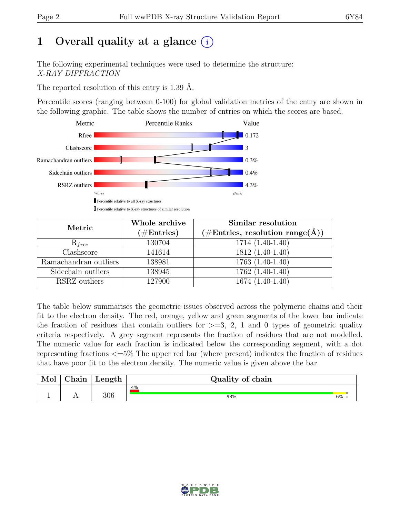# 1 Overall quality at a glance  $(i)$

The following experimental techniques were used to determine the structure: X-RAY DIFFRACTION

The reported resolution of this entry is 1.39 Å.

Percentile scores (ranging between 0-100) for global validation metrics of the entry are shown in the following graphic. The table shows the number of entries on which the scores are based.



| Metric                | Whole archive | Similar resolution                                                |  |
|-----------------------|---------------|-------------------------------------------------------------------|--|
|                       | $(\#Entries)$ | $(\# \text{Entries}, \text{ resolution } \text{range}(\text{A}))$ |  |
| $R_{free}$            | 130704        | $1714(1.40-1.40)$                                                 |  |
| Clashscore            | 141614        | 1812 (1.40-1.40)                                                  |  |
| Ramachandran outliers | 138981        | $1763(1.40-1.40)$                                                 |  |
| Sidechain outliers    | 138945        | 1762 (1.40-1.40)                                                  |  |
| RSRZ outliers         | 127900        | 1674 (1.40-1.40)                                                  |  |

The table below summarises the geometric issues observed across the polymeric chains and their fit to the electron density. The red, orange, yellow and green segments of the lower bar indicate the fraction of residues that contain outliers for  $\geq$ =3, 2, 1 and 0 types of geometric quality criteria respectively. A grey segment represents the fraction of residues that are not modelled. The numeric value for each fraction is indicated below the corresponding segment, with a dot representing fractions <=5% The upper red bar (where present) indicates the fraction of residues that have poor fit to the electron density. The numeric value is given above the bar.

| Mol      | $\gamma$ hain | Length | Quality of chain |    |
|----------|---------------|--------|------------------|----|
|          |               |        | 4%               |    |
| <b>.</b> |               | 306    | 93%              | 6% |

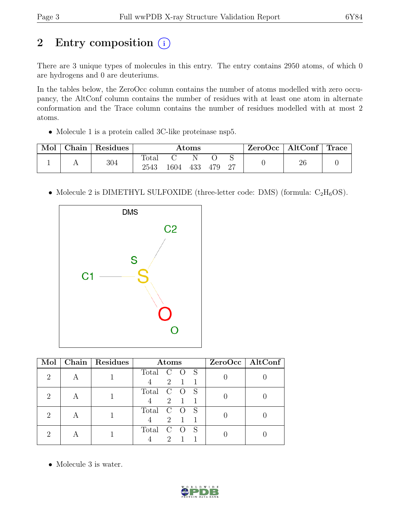## 2 Entry composition  $(i)$

There are 3 unique types of molecules in this entry. The entry contains 2950 atoms, of which 0 are hydrogens and 0 are deuteriums.

In the tables below, the ZeroOcc column contains the number of atoms modelled with zero occupancy, the AltConf column contains the number of residues with at least one atom in alternate conformation and the Trace column contains the number of residues modelled with at most 2 atoms.

• Molecule 1 is a protein called 3C-like proteinase nsp5.

| Mol | Chain | Residues |                        |      | <b>Atoms</b> |     | $\text{ZeroOcc}$   AltConf   Trace |    |  |
|-----|-------|----------|------------------------|------|--------------|-----|------------------------------------|----|--|
|     |       | 304      | $\text{Total}$<br>2543 | 1604 | 433          | 479 |                                    | 26 |  |

• Molecule 2 is DIMETHYL SULFOXIDE (three-letter code: DMS) (formula:  $C_2H_6OS$ ).



| Mol | Chain   Residues | Atoms                                                 | $ZeroOcc \   \$ AltConf |
|-----|------------------|-------------------------------------------------------|-------------------------|
|     |                  | Total C<br>S<br>2<br>$\blacksquare$ 1                 |                         |
|     |                  | Total C O<br>2 1                                      |                         |
|     |                  | Total<br>$C$ O<br>2<br>$\blacksquare$                 |                         |
|     |                  | Total<br>$\mathcal{C}$<br>$\mathcal{D}_{\mathcal{L}}$ |                         |

• Molecule 3 is water.

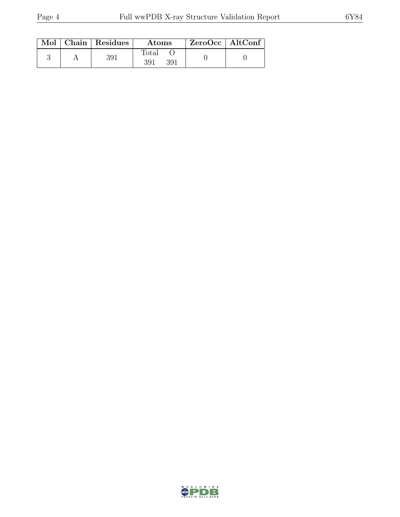|  | Mol   Chain   Residues | Atoms               | $\vert$ ZeroOcc $\vert$ AltConf $\vert$ |  |
|--|------------------------|---------------------|-----------------------------------------|--|
|  | 391                    | Total<br>391<br>391 |                                         |  |

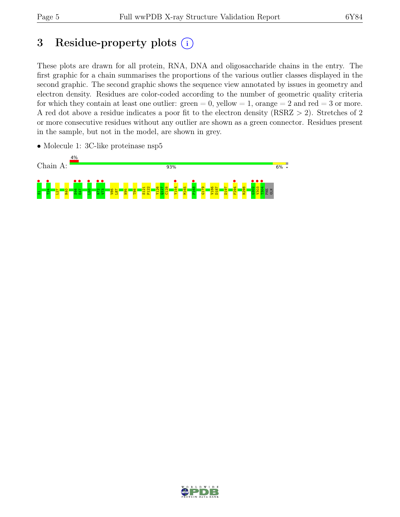# 3 Residue-property plots  $(i)$

These plots are drawn for all protein, RNA, DNA and oligosaccharide chains in the entry. The first graphic for a chain summarises the proportions of the various outlier classes displayed in the second graphic. The second graphic shows the sequence view annotated by issues in geometry and electron density. Residues are color-coded according to the number of geometric quality criteria for which they contain at least one outlier:  $green = 0$ , yellow  $= 1$ , orange  $= 2$  and red  $= 3$  or more. A red dot above a residue indicates a poor fit to the electron density (RSRZ > 2). Stretches of 2 or more consecutive residues without any outlier are shown as a green connector. Residues present in the sample, but not in the model, are shown in grey.

> PHE GLN

 $6\%$  .

- Chain A: 93% S1 • T24 • L27 R40  $\frac{6}{545}$  • **•**<br>E47 **•**<br>150 **•**  $\frac{1}{2}$  $\bullet$   $\bullet$ **v** 154 • P<sub>168</sub> F294 •  $\frac{1}{\frac{1}{2002}}$  $\frac{1}{2}$ T304 • S121 P122 Y126  $\frac{127}{2}$ C<sub>128</sub> M165 G179 V186 D187 D197 R298 V86 L87 N95 T98
- Molecule 1: 3C-like proteinase nsp5

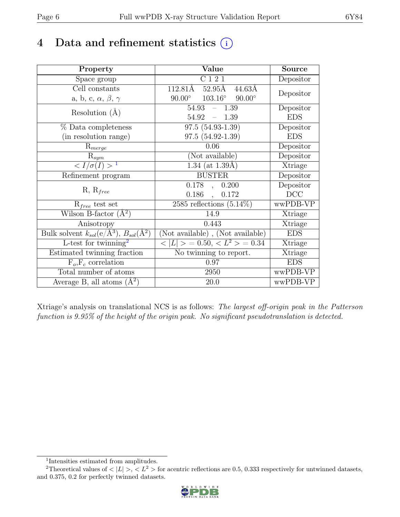## 4 Data and refinement statistics  $(i)$

| Property                                                         | Value                                    | <b>Source</b> |
|------------------------------------------------------------------|------------------------------------------|---------------|
| Space group                                                      | C121                                     | Depositor     |
| Cell constants                                                   | $112.81\text{\AA}$<br>52.95Å<br>44.63Å   |               |
| a, b, c, $\alpha$ , $\beta$ , $\gamma$                           | $103.16^{\circ}$ 90.00°<br>$90.00^\circ$ | Depositor     |
| Resolution $(A)$                                                 | $54.93 - 1.39$                           | Depositor     |
|                                                                  | $54.92 - 1.39$                           | <b>EDS</b>    |
| % Data completeness                                              | $\overline{97.5}$ $(54.93-1.39)$         | Depositor     |
| (in resolution range)                                            | $97.5(54.92-1.39)$                       | <b>EDS</b>    |
| $R_{merge}$                                                      | 0.06                                     | Depositor     |
| $\mathrm{R}_{sym}$                                               | (Not available)                          | Depositor     |
| $\sqrt{I/\sigma(I)}>1$                                           | 1.34 (at $1.39\text{\AA}$ )              | Xtriage       |
| Refinement program                                               | <b>BUSTER</b>                            | Depositor     |
|                                                                  | $0.178$ ,<br>0.200                       | Depositor     |
| $R, R_{free}$                                                    | $0.186$ ,<br>0.172                       | DCC           |
| $R_{free}$ test set                                              | 2585 reflections $(5.14\%)$              | wwPDB-VP      |
| Wilson B-factor $(A^2)$                                          | 14.9                                     | Xtriage       |
| Anisotropy                                                       | 0.443                                    | Xtriage       |
| Bulk solvent $k_{sol}(\text{e}/\text{A}^3), B_{sol}(\text{A}^2)$ | (Not available), (Not available)         | <b>EDS</b>    |
| L-test for twinning <sup>2</sup>                                 | $< L >$ = 0.50, $\lt L^2$ > = 0.34       | Xtriage       |
| Estimated twinning fraction                                      | No twinning to report.                   | Xtriage       |
| $F_o, F_c$ correlation                                           | 0.97                                     | <b>EDS</b>    |
| Total number of atoms                                            | 2950                                     | wwPDB-VP      |
| Average B, all atoms $(A^2)$                                     | 20.0                                     | wwPDB-VP      |

Xtriage's analysis on translational NCS is as follows: The largest off-origin peak in the Patterson function is 9.95% of the height of the origin peak. No significant pseudotranslation is detected.

<sup>&</sup>lt;sup>2</sup>Theoretical values of  $\langle |L| \rangle$ ,  $\langle L^2 \rangle$  for acentric reflections are 0.5, 0.333 respectively for untwinned datasets, and 0.375, 0.2 for perfectly twinned datasets.



<span id="page-5-1"></span><span id="page-5-0"></span><sup>1</sup> Intensities estimated from amplitudes.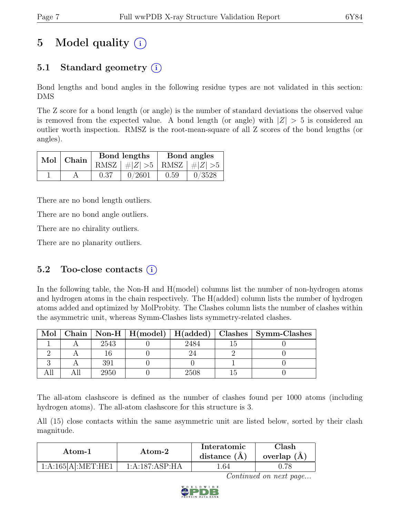# 5 Model quality  $(i)$

## 5.1 Standard geometry  $(i)$

Bond lengths and bond angles in the following residue types are not validated in this section: DMS

The Z score for a bond length (or angle) is the number of standard deviations the observed value is removed from the expected value. A bond length (or angle) with  $|Z| > 5$  is considered an outlier worth inspection. RMSZ is the root-mean-square of all Z scores of the bond lengths (or angles).

|  | Mol   Chain |      | Bond lengths                    | Bond angles |        |  |
|--|-------------|------|---------------------------------|-------------|--------|--|
|  |             |      | RMSZ $ #Z  > 5$ RMSZ $ #Z  > 5$ |             |        |  |
|  |             | 0.37 | 0/2601                          | 0.59        | 0/3528 |  |

There are no bond length outliers.

There are no bond angle outliers.

There are no chirality outliers.

There are no planarity outliers.

#### 5.2 Too-close contacts  $(i)$

In the following table, the Non-H and H(model) columns list the number of non-hydrogen atoms and hydrogen atoms in the chain respectively. The H(added) column lists the number of hydrogen atoms added and optimized by MolProbity. The Clashes column lists the number of clashes within the asymmetric unit, whereas Symm-Clashes lists symmetry-related clashes.

| Mol |      |      | Chain   Non-H   H(model)   H(added)   Clashes   Symm-Clashes |
|-----|------|------|--------------------------------------------------------------|
|     | 2543 | 2484 |                                                              |
|     |      |      |                                                              |
|     | 391  |      |                                                              |
|     | 2950 |      |                                                              |

The all-atom clashscore is defined as the number of clashes found per 1000 atoms (including hydrogen atoms). The all-atom clashscore for this structure is 3.

All (15) close contacts within the same asymmetric unit are listed below, sorted by their clash magnitude.

| Atom-1             | Atom-2         | Interatomic<br>distance $(A)$ | $\operatorname{Clash}$<br>overlap $(A)$ |
|--------------------|----------------|-------------------------------|-----------------------------------------|
| 1:A:165[A].MET:HE1 | 1:A:187:ASP:HA | .64                           |                                         |

Continued on next page...

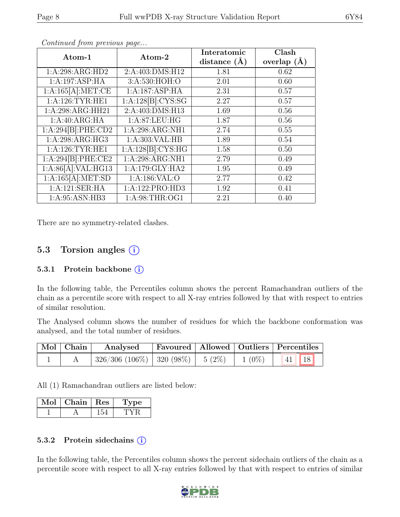| Atom-1             | Atom-2             | Interatomic      | Clash           |
|--------------------|--------------------|------------------|-----------------|
|                    |                    | distance $(\AA)$ | overlap $(\AA)$ |
| 1:A:298:ARG:HD2    | 2:A:403:DMS:H12    | 1.81             | 0.62            |
| 1:A:197:ASP:HA     | 3:A:530:HOH:O      | 2.01             | 0.60            |
| 1:A:165[A]:MET:CE  | 1:A:187:ASP:HA     | 2.31             | 0.57            |
| 1:A:126:TYR:HE1    | 1:A:128[B]:CYS:SG  | 2.27             | 0.57            |
| 1:A:298:ARG:HH21   | 2:A:403:DMS:H13    | 1.69             | 0.56            |
| 1:A:40:ARG:HA      | 1: A:87: LEU: HG   | 1.87             | 0.56            |
| 1:A:294[B]:PHE:CD2 | 1:A:298:ARG:NH1    | 2.74             | 0.55            |
| 1:A:298:ARG:HG3    | 1:A:303:VAL:HB     | 1.89             | 0.54            |
| 1: A:126:TYR:HE1   | 1:A:128[B]:CYS:HG  | 1.58             | 0.50            |
| 1:A:294[B]:PHE:CE2 | 1:A:298:ARG:NH1    | 2.79             | 0.49            |
| 1:A:86[A]:VAL:HG13 | 1: A:179: GLY: HA2 | 1.95             | 0.49            |
| 1:A:165[A]:MET:SD  | 1:A:186:VAL:O      | 2.77             | 0.42            |
| 1:A:121:SER:HA     | 1:A:122:PRO:HD3    | 1.92             | 0.41            |
| 1: A:95: ASN:HB3   | 1: A:98:THR:OG1    | 2.21             | 0.40            |

Continued from previous page...

There are no symmetry-related clashes.

#### 5.3 Torsion angles (i)

#### 5.3.1 Protein backbone  $(i)$

In the following table, the Percentiles column shows the percent Ramachandran outliers of the chain as a percentile score with respect to all X-ray entries followed by that with respect to entries of similar resolution.

The Analysed column shows the number of residues for which the backbone conformation was analysed, and the total number of residues.

| $\vert$ Mol $\vert$ Chain $\vert$ | Analysed                                                  |  | Favoured   Allowed   Outliers   Percentiles |  |  |
|-----------------------------------|-----------------------------------------------------------|--|---------------------------------------------|--|--|
|                                   | $326/306 (106\%)$   320 (98%)   5 (2%)   1 (0%)   41   18 |  |                                             |  |  |

All (1) Ramachandran outliers are listed below:

| Chain. | Res | Dе |
|--------|-----|----|
|        |     |    |

#### 5.3.2 Protein side chains  $(i)$

In the following table, the Percentiles column shows the percent sidechain outliers of the chain as a percentile score with respect to all X-ray entries followed by that with respect to entries of similar

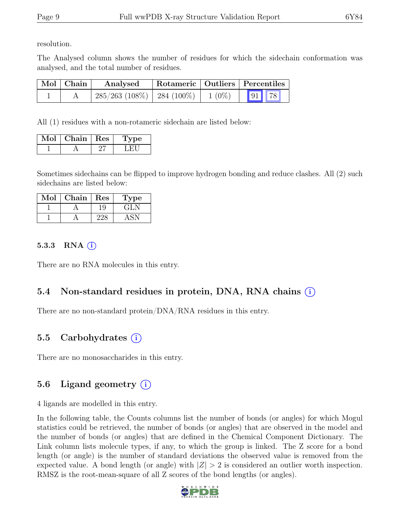resolution.

The Analysed column shows the number of residues for which the sidechain conformation was analysed, and the total number of residues.

| Mol Chain | Analysed                        |          | Rotameric   Outliers   Percentiles |  |  |
|-----------|---------------------------------|----------|------------------------------------|--|--|
|           | $285/263$ (108\%)   284 (100\%) | $1(0\%)$ | 91 78                              |  |  |

All (1) residues with a non-rotameric sidechain are listed below:

| Mol | Chain   Res | 'De- |
|-----|-------------|------|
|     |             |      |

Sometimes sidechains can be flipped to improve hydrogen bonding and reduce clashes. All (2) such sidechains are listed below:

| Mol | ${\rm Chain}$ | $\operatorname{Res}$ | ype     |
|-----|---------------|----------------------|---------|
|     |               | ۱9                   | $-141N$ |
|     |               |                      |         |

#### 5.3.3 RNA  $(i)$

There are no RNA molecules in this entry.

## 5.4 Non-standard residues in protein, DNA, RNA chains (i)

There are no non-standard protein/DNA/RNA residues in this entry.

## 5.5 Carbohydrates (i)

There are no monosaccharides in this entry.

## 5.6 Ligand geometry  $(i)$

4 ligands are modelled in this entry.

In the following table, the Counts columns list the number of bonds (or angles) for which Mogul statistics could be retrieved, the number of bonds (or angles) that are observed in the model and the number of bonds (or angles) that are defined in the Chemical Component Dictionary. The Link column lists molecule types, if any, to which the group is linked. The Z score for a bond length (or angle) is the number of standard deviations the observed value is removed from the expected value. A bond length (or angle) with  $|Z| > 2$  is considered an outlier worth inspection. RMSZ is the root-mean-square of all Z scores of the bond lengths (or angles).

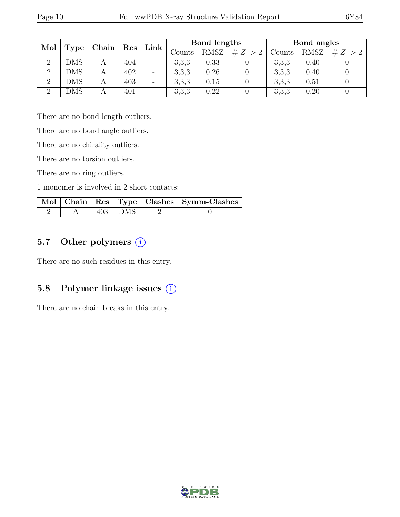| Mol            | Type | Chain | $\operatorname{Res}$ | Link                     | Bond lengths |             |        | Bond angles |         |  |
|----------------|------|-------|----------------------|--------------------------|--------------|-------------|--------|-------------|---------|--|
|                |      |       |                      | Counts                   | <b>RMSZ</b>  | # $ Z  > 2$ | Counts | <b>RMSZ</b> | Z <br># |  |
| $\overline{2}$ | DMS  | А     | 404                  | $\overline{\phantom{m}}$ | 3,3,3        | 0.33        |        | 3,3,3       | 0.40    |  |
| $\Omega$       | DMS  |       | 402                  | -                        | 3,3,3        | $0.26\,$    |        | 3,3,3       | 0.40    |  |
| $\Omega$       | DMS  |       | 403                  | $\overline{\phantom{a}}$ | 3,3,3        | 0.15        |        | 3,3,3       | 0.51    |  |
| $\overline{2}$ | DMS  |       | 401                  | $\overline{\phantom{a}}$ | 3,3,3        | 0.22        |        | 3,3,3       | 0.20    |  |

There are no bond length outliers.

There are no bond angle outliers.

There are no chirality outliers.

There are no torsion outliers.

There are no ring outliers.

1 monomer is involved in 2 short contacts:

|  |           | Mol   Chain   Res   Type   Clashes   Symm-Clashes |
|--|-----------|---------------------------------------------------|
|  | $403$ DMS |                                                   |

#### 5.7 Other polymers (i)

There are no such residues in this entry.

#### 5.8 Polymer linkage issues (i)

There are no chain breaks in this entry.

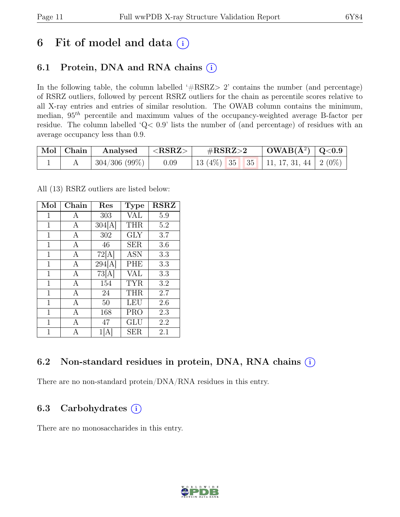## 6 Fit of model and data  $(i)$

## 6.1 Protein, DNA and RNA chains  $(i)$

In the following table, the column labelled ' $\#\text{RSRZ}>2$ ' contains the number (and percentage) of RSRZ outliers, followed by percent RSRZ outliers for the chain as percentile scores relative to all X-ray entries and entries of similar resolution. The OWAB column contains the minimum, median,  $95<sup>th</sup>$  percentile and maximum values of the occupancy-weighted average B-factor per residue. The column labelled 'Q< 0.9' lists the number of (and percentage) of residues with an average occupancy less than 0.9.

| Mol Chain | Analysed $ \langle \text{RSRZ}\rangle $ |      | $\#\text{RSRZ}\text{>2}$                      | $\mid$ OWAB(Å <sup>2</sup> ) $\mid$ Q<0.9 |  |
|-----------|-----------------------------------------|------|-----------------------------------------------|-------------------------------------------|--|
|           | 304/306(99%)                            | 0.09 | 13 (4\%)   35   35   11, 17, 31, 44   2 (0\%) |                                           |  |

All (13) RSRZ outliers are listed below:

| Mol          | Chain        | $\operatorname{Res}$ | <b>Type</b> | <b>RSRZ</b> |
|--------------|--------------|----------------------|-------------|-------------|
| $\mathbf 1$  | А            | 303                  | <b>VAL</b>  | 5.9         |
| 1            | $\mathbf{A}$ | 304[A]               | <b>THR</b>  | 5.2         |
| $\mathbf{1}$ | A            | 302                  | GLY         | 3.7         |
| $\mathbf 1$  | $\mathbf{A}$ | 46                   | <b>SER</b>  | 3.6         |
| $\mathbf 1$  | A            | 72[A]                | <b>ASN</b>  | 3.3         |
| $\mathbf 1$  | $\mathbf{A}$ | 294[A]               | <b>PHE</b>  | 3.3         |
| $\mathbf 1$  | A            | 73[A]                | <b>VAL</b>  | 3.3         |
| 1            | A            | 154                  | <b>TYR</b>  | 3.2         |
| $\mathbf 1$  | $\mathbf{A}$ | 24                   | THR         | 2.7         |
| $\mathbf 1$  | A            | 50                   | LEU         | 2.6         |
| 1            | A            | 168                  | <b>PRO</b>  | 2.3         |
| 1            | $\mathbf{A}$ | 47                   | GLU         | 2.2         |
| 1            | A            | 1 A                  | <b>SER</b>  | 2.1         |

## 6.2 Non-standard residues in protein, DNA, RNA chains (i)

There are no non-standard protein/DNA/RNA residues in this entry.

## 6.3 Carbohydrates  $(i)$

There are no monosaccharides in this entry.